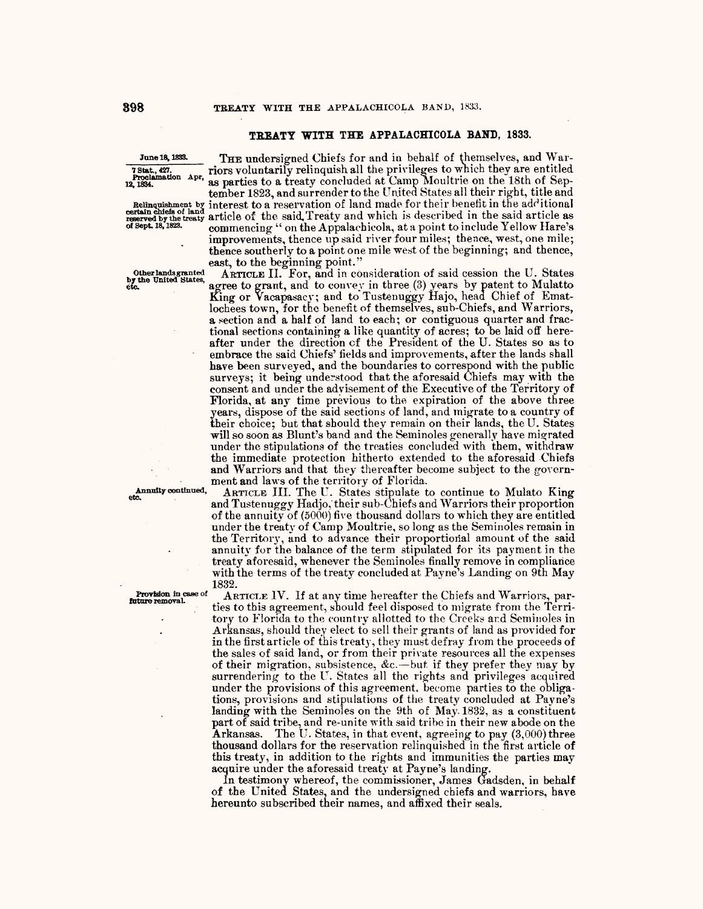## TREATY WITH THE APPALACHICOLA BAND, 1833.

June 18, 1893. THE undersigned Chiefs for and in behalf of themselves, and War-<br> **TREE UNDER TO A TEND CONTAINERT PROPERTY**<br> **TREE UNDER TO A TEND CONTAINERT PROPERTY**<br> **TREE UNDER TO A TEND CONTAINERT PROPERTY**<br> **TREE UND The Columnation Apr,** riors voluntarily relinquish all the privileges to which they are entitled in the 18th of Sep-<br>12, 1884. tember 1823, and surrender to the United States all their right, title and Relinquishment by interest to a reservation of land made for their benefit in the additional certain chiefs of land<br>reserved by the treaty article of the said. Treaty and which is described in the said article as of Sept. 18, 1823. **commencing** "on the Appalachicola, at a point to include Yellow Hare's commencing " on the Appalachicola, at a point to include Yellow Hare's improvements, thence up said river four miles; thence, west, one mile; thence southerly to a point one mile west of the beginning; and thence, east, to the beginning point."

Otherlandsgranted ARTICLE II. For, and in consideration of said cession the U. States by the United States, agree to grant, and to convey in three  $(3)$  years by patent to Mulatto agree to grant, and to convey in three (3) years by patent to Mulatto King or Vacapasacy; and to Tustenuggy Hajo, head Chief of Ematlochees town, for the benefit of themselves, sub-Chiefs, and Warriors, a section and a half of land to each; or contiguous quarter and fractional seetions containing a like quantity of acres; to be laid off hereafter under the direction of the President of the U. States so as to embrace the said Chiefs' fields and improvements, after the lands shall have been surveyed, and the boundaries to correspond with the public surveys; it being understood that the aforesaid Chiefs may with the consent and under the advisement of the Executive of the Territory of Florida, at any time previous to the expiration of the above three years, dispose of the said sections of land, and migrate to a country of their choice; but that should they remain on their lands, the U. States will so soon as Blunt's band and the Seminoles generally have migrated under the stipulations of the treaties concluded with them, withdraw the immediate protection hitherto extended to the aforesaid Chiefs and Warriors and that they thereafter become subject to the govern-

ment and laws of the territory of Florida.<br>ARTICLE III. The U. States stipulate to continue to Mulato King Annuity continued, ARTICLE III. The U. States stipulate to continue to Mulato King and Tustenuggy Hadjo, their sub-Chiefs and Warriors their proportion of the annuity of (5000) five thousand dollars to which they are entitled under the treaty of Camp Moultrie, so long as the Seminoles remain in the Territory, and to advance their proportional amount of the said annuity for the balance of the term stipulated for its payment in the treaty aforesaid, whenever the Seminoles finally remove in compliance with the terms of the treaty concluded at Payne's Landing on 9th May 1832.<br>ARTICLE IV. If at any time hereafter the Chiefs and Warriors, par-

**Provision in case of** ARTICLE IV. If at any time hereafter the Chiefs and Warriors, parties to this agreement, should feel disposed to migrate from the Territory to Florida to the country allotted to the Creeks and Semino Arkansas, should they elect to sell their grants of land as provided for in the first article of this treaty, they must defray from the proceeds of the sales of said land, or from their private resources all the expenses of their migration, subsistence, &c.-but. if they prefer they may by surrendering to the U. States all the rights and privileges acquired under the provisions of this agreement, become parties to the obligations, provisions and stipulations of the treaty concluded at Payne's landing with the Seminoles on the 9th of May. 1832, as a constituent part of said tribe, and re-unite with said tribe in their new abode on the Arkansas. The U. States, in that event, agreeing to pay  $(3,000)$  three thousand dollars for the reservation relinquished in the first article of this treaty, in addition to the rights and immunities the parties may acquire under the aforesaid treaty at Payne's landing.

1n testimony whereof, the commissioner, James Gadsden, in behalf of the United States, and the undersigned chiefs and warriors, have hereunto subscribed their names, and affixed their seals.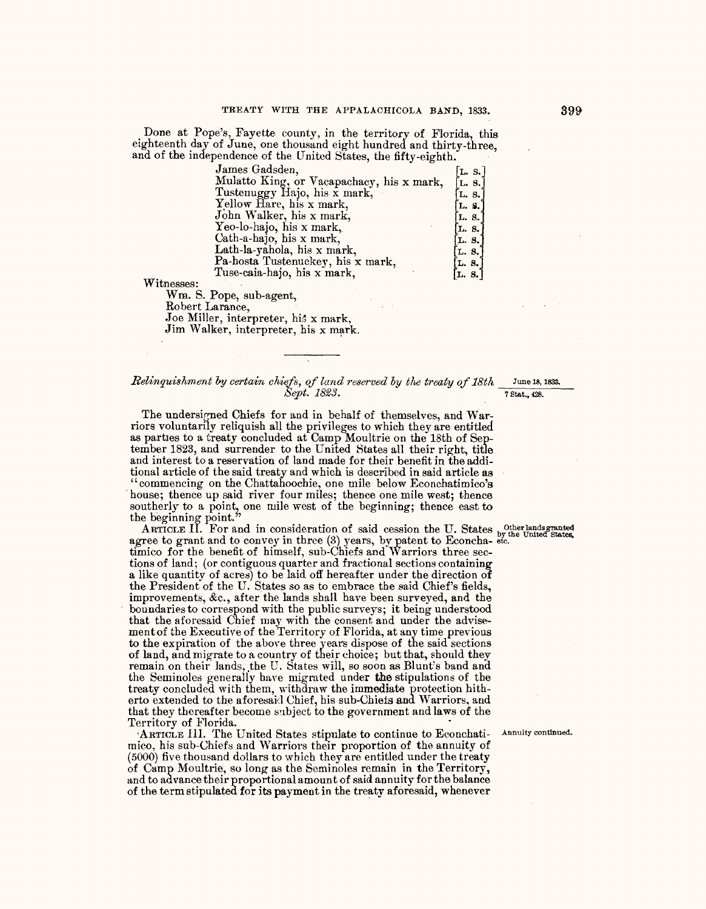Done at Pope's, Fayette county, in the territory of Florida, this eighteenth day of June, one thousand eight hundred and thirty-three, and of the independence of the United States, the fifty-eighth.

| James Gadsden,                            | $\lceil$ L. s. $\rceil$     |
|-------------------------------------------|-----------------------------|
| Mulatto King, or Vacapachacy, his x mark, | $\left[1.8\right]$          |
| Tustenuggy Hajo, his x mark,              | [L. S.]                     |
| Yellow Hare, his x mark,                  | [L. S.]                     |
| John Walker, his x mark,                  | $\lfloor$ L. 8. $\rfloor$   |
| Yeo-lo-hajo, his x mark,                  | $\left[\text{L. 8.}\right]$ |
| Cath-a-hajo, his x mark,                  | $\left[\text{L. 8.}\right]$ |
| Lath-la-yahola, his x mark,               | [L. 8.]                     |
| Pa-hosta Tustenuckey, his x mark,         | L. 8.                       |
| Tuse-caia-hajo, his x mark,               | [L, 8, ]                    |

Witnesses:

Wm. S. Pope, sub-agent,

Robert Larance,<br>Joe Miller, interpreter, his x mark, Jim Walker, interpreter, his x mark.

## *Relinquishment by certain chiefs, of land reserved by the treaty of 18th* June 18, 1833. *Sept. 18f3. -1* s-ta-t.-, 428.---

The undersigned Chiefs for and in behalf of themselves, and Warriors voluntartly reliquish all the privileges to which they are entitled as parties to a treaty concluded at Camp Moultrie on the 18th *of* September 1823, and surrender to the United States all their right, title and interest to a reservation of land made for their benefit in the additional article of the said treaty and which is described in said article as house; thence up said river four miles; thence one mile west; thence southerly to a point, one mile west of the beginning; thence east **to**  the beginning point."

ARTICLE II. For and in consideration of said cession the U. States  $\frac{0}{x}$  other landsgranted States agree to grant and to convey in three  $(3)$  years, by patent to Econcha- etc. timico for the benefit of himself, sub-Chiefs and Warriors three sections of land; (or contiguous quarter and fractional sections containing a like quantity of acres) to be laid off hereafter under the direction of the President of the U. States so as to embrace the said Chief's fields,  $improvements, &c., after the lands shall have been surveyed, and the$ boundaries to correspond with the public surveys; it being understood that the aforesaid Chief mav with the consent and under the advisementof the Executive *of* the Territory of Florida, at any time previous to the expiration of the above three years dispose of the said sections of land, arid migrate to a country of their choice; but that, should they remain on their lands, the U. States will, so soon as Blunt's band and the Seminoles generally have migrated under the stipulations of the treaty concluded with them, withdraw the immediate protection hitherto extended to the aforesaid Chief, his sub-Chiefs and Warriors, and that they thereafter become subject to the government and laws of the Territory of Florida.

ARTICLE HI. The United States stipulate to continue to Econchati- Annuity continued. mico, his sub-Chiefs and Warriors their proportion of the annuity of (5000) five thousand dollars to which they are entitled under the treaty of Camp Moultrie, so long as the Seminoles remain in the Territory, and to advance their proportional amount of said annuity for the balance of the term stipulated for its payment in the treaty aforesaid, whenever